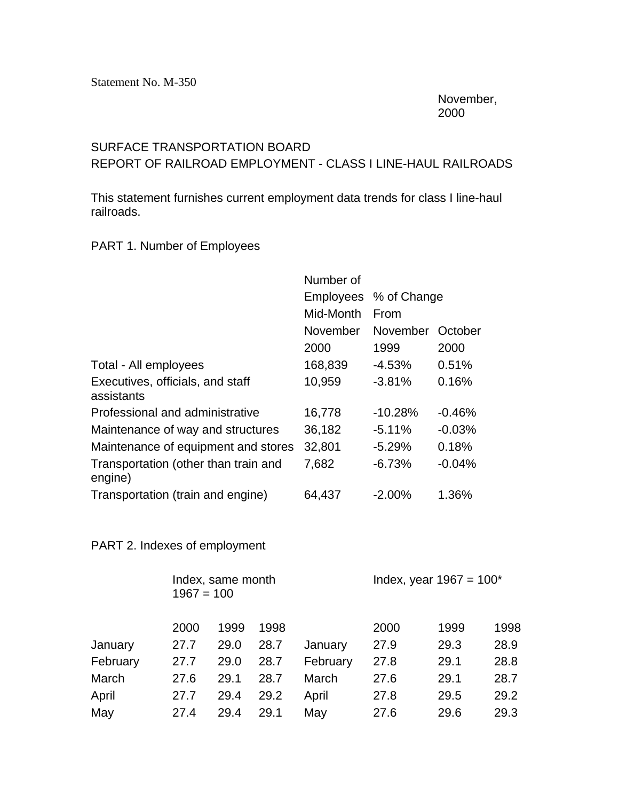November, 2000

## SURFACE TRANSPORTATION BOARD

REPORT OF RAILROAD EMPLOYMENT - CLASS I LINE-HAUL RAILROADS

This statement furnishes current employment data trends for class I line-haul railroads.

## PART 1. Number of Employees

|                                                 | Number of        |             |          |  |  |
|-------------------------------------------------|------------------|-------------|----------|--|--|
|                                                 | <b>Employees</b> | % of Change |          |  |  |
|                                                 | Mid-Month        | From        |          |  |  |
|                                                 | November         | November    | October  |  |  |
|                                                 | 2000             | 1999        | 2000     |  |  |
| Total - All employees                           | 168,839          | $-4.53%$    | 0.51%    |  |  |
| Executives, officials, and staff<br>assistants  | 10,959           | $-3.81%$    | 0.16%    |  |  |
| Professional and administrative                 | 16,778           | $-10.28%$   | $-0.46%$ |  |  |
| Maintenance of way and structures               | 36,182           | $-5.11%$    | $-0.03%$ |  |  |
| Maintenance of equipment and stores             | 32,801           | $-5.29%$    | 0.18%    |  |  |
| Transportation (other than train and<br>engine) | 7,682            | $-6.73%$    | $-0.04%$ |  |  |
| Transportation (train and engine)               | 64,437           | $-2.00%$    | 1.36%    |  |  |

## PART 2. Indexes of employment

|          | $1967 = 100$ | Index, same month |      | Index, year $1967 = 100^*$ |      |      |      |
|----------|--------------|-------------------|------|----------------------------|------|------|------|
|          | 2000         | 1999              | 1998 |                            | 2000 | 1999 | 1998 |
| January  | 27.7         | 29.0              | 28.7 | January                    | 27.9 | 29.3 | 28.9 |
| February | 27.7         | 29.0              | 28.7 | February                   | 27.8 | 29.1 | 28.8 |
| March    | 27.6         | 29.1              | 28.7 | March                      | 27.6 | 29.1 | 28.7 |
| April    | 27.7         | 29.4              | 29.2 | April                      | 27.8 | 29.5 | 29.2 |
| May      | 27.4         | 29.4              | 29.1 | May                        | 27.6 | 29.6 | 29.3 |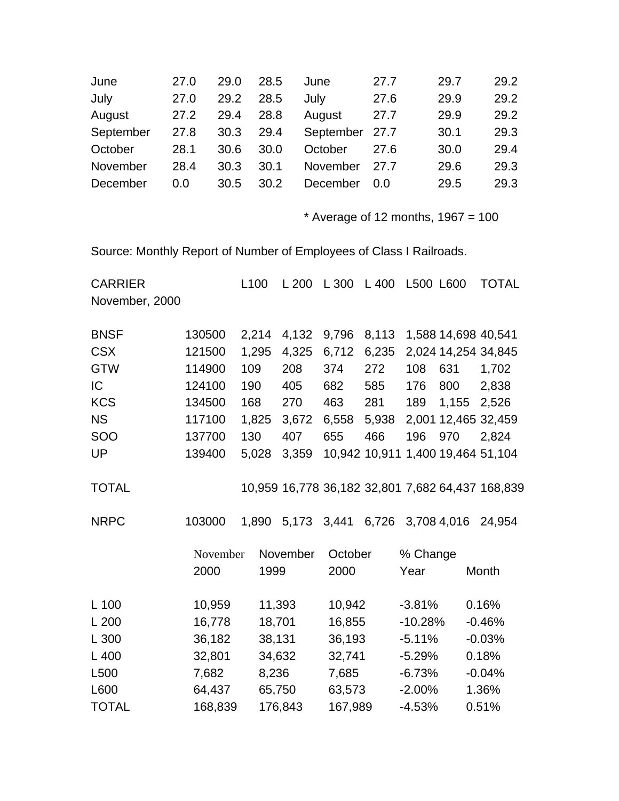| 27.0 | 29.0 | 28.5 | June     | 27.7 | 29.7           | 29.2 |
|------|------|------|----------|------|----------------|------|
| 27.0 | 29.2 | 28.5 | July     | 27.6 | 29.9           | 29.2 |
| 27.2 | 29.4 | 28.8 | August   | 27.7 | 29.9           | 29.2 |
| 27.8 | 30.3 | 29.4 |          |      | 30.1           | 29.3 |
| 28.1 | 30.6 | 30.0 | October  | 27.6 | 30.0           | 29.4 |
| 28.4 | 30.3 | 30.1 | November | 27.7 | 29.6           | 29.3 |
| 0.0  | 30.5 | 30.2 | December | 0.0  | 29.5           | 29.3 |
|      |      |      |          |      | September 27.7 |      |

 $*$  Average of 12 months, 1967 = 100

Source: Monthly Report of Number of Employees of Class I Railroads.

| <b>CARRIER</b>   |          | L <sub>100</sub> | L200     | L 300       | L 400         | L500 L600 |             | TOTAL                                            |
|------------------|----------|------------------|----------|-------------|---------------|-----------|-------------|--------------------------------------------------|
| November, 2000   |          |                  |          |             |               |           |             |                                                  |
| <b>BNSF</b>      | 130500   | 2,214            | 4,132    | 9,796       | 8,113         |           |             | 1,588 14,698 40,541                              |
| <b>CSX</b>       | 121500   | 1,295            | 4,325    | 6,712       | 6,235         |           |             | 2,024 14,254 34,845                              |
| <b>GTW</b>       | 114900   | 109              | 208      | 374         | 272           | 108       | 631         | 1,702                                            |
| IC               | 124100   | 190              | 405      | 682         | 585           | 176       | 800         | 2,838                                            |
| <b>KCS</b>       | 134500   | 168              | 270      | 463         | 281           | 189       | 1,155       | 2,526                                            |
| <b>NS</b>        | 117100   | 1,825            | 3,672    | 6,558       | 5,938         |           |             | 2,001 12,465 32,459                              |
| <b>SOO</b>       | 137700   | 130              | 407      | 655         | 466           | 196       | 970         | 2,824                                            |
| UP               | 139400   | 5,028            | 3,359    |             | 10,942 10,911 |           |             | 1,400 19,464 51,104                              |
| <b>TOTAL</b>     |          |                  |          |             |               |           |             | 10,959 16,778 36,182 32,801 7,682 64,437 168,839 |
| <b>NRPC</b>      | 103000   | 1,890            |          | 5,173 3,441 | 6,726         |           | 3,708 4,016 | 24,954                                           |
|                  | November |                  | November | October     |               | % Change  |             |                                                  |
|                  | 2000     | 1999             |          | 2000        |               | Year      |             | Month                                            |
| L 100            | 10,959   |                  | 11,393   | 10,942      |               | $-3.81%$  |             | 0.16%                                            |
| L200             | 16,778   |                  | 18,701   | 16,855      |               | $-10.28%$ |             | $-0.46%$                                         |
| L 300            | 36,182   | 38,131           |          | 36,193      |               | $-5.11%$  |             | $-0.03%$                                         |
| L 400            | 32,801   |                  | 34,632   | 32,741      |               | $-5.29%$  |             | 0.18%                                            |
| L <sub>500</sub> | 7,682    | 8,236            |          | 7,685       |               | $-6.73%$  |             | $-0.04%$                                         |
| L600             | 64,437   |                  | 65,750   | 63,573      |               | $-2.00%$  |             | 1.36%                                            |
| <b>TOTAL</b>     | 168,839  |                  | 176,843  | 167,989     |               | $-4.53%$  |             | 0.51%                                            |